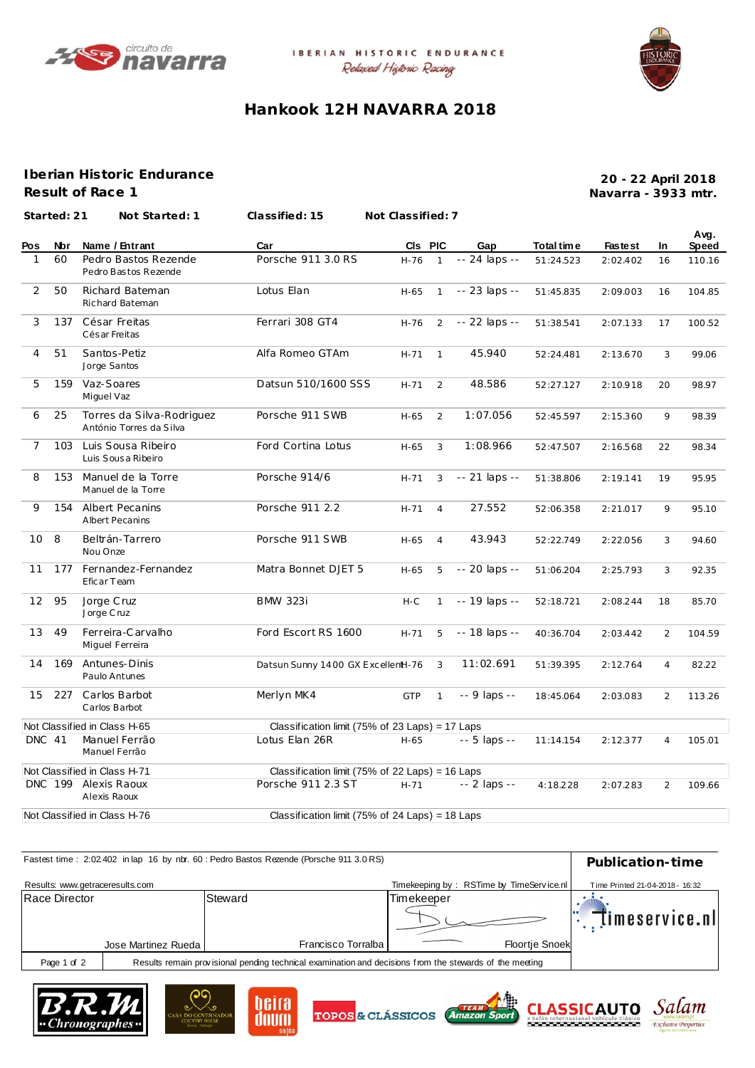

**IBERIAN HISTORIC ENDURANCE** Relaxed Historic Racing



# **Hankook 12H NAVARRA 2018**

### **Iberian Historic Endurance**

**Result of Race 1**

#### **Navarra - 3933 mtr. 20 - 22 April 2018**

|                | Started: 21 | Not Started: 1                                       | Classified: 15                                  | Not Classified: 7 |                |               |            |                |                |               |
|----------------|-------------|------------------------------------------------------|-------------------------------------------------|-------------------|----------------|---------------|------------|----------------|----------------|---------------|
| Pos            | Nbr         | Name / Entrant                                       | Car                                             |                   | CIs PIC        | Gap           | Total time | <b>Fastest</b> | In             | Avg.<br>Speed |
| 1              | 60          | Pedro Bastos Rezende<br>Pedro Bastos Rezende         | Porsche 911 3.0 RS                              | $H-76$            | $\overline{1}$ | -- 24 laps -- | 51:24.523  | 2:02.402       | 16             | 110.16        |
| $\overline{2}$ | 50          | Richard Bateman<br>Richard Bateman                   | Lotus Elan                                      | H-65              | $\mathbf{1}$   | -- 23 laps -- | 51:45.835  | 2:09.003       | 16             | 104.85        |
| 3              | 137         | César Freitas<br>Cés ar Freitas                      | Ferrari 308 GT4                                 | $H-76$            | $\overline{2}$ | -- 22 laps -- | 51:38.541  | 2:07.133       | 17             | 100.52        |
| 4              | 51          | Santos-Petiz<br>Jorge Santos                         | Alfa Romeo GTAm                                 | $H-71$            | $\overline{1}$ | 45.940        | 52:24.481  | 2:13.670       | 3              | 99.06         |
| 5              | 159         | Vaz-Soares<br>Miguel Vaz                             | Datsun 510/1600 SSS                             | $H-71$            | $\overline{2}$ | 48.586        | 52:27.127  | 2:10.918       | 20             | 98.97         |
| 6              | 25          | Torres da Silva-Rodriguez<br>António Torres da Silva | Porsche 911 SWB                                 | $H-65$            | $\overline{2}$ | 1:07.056      | 52:45.597  | 2:15.360       | 9              | 98.39         |
| 7              | 103         | Luis Sousa Ribeiro<br>Luis Sousa Ribeiro             | Ford Cortina Lotus                              | $H-65$            | 3              | 1:08.966      | 52:47.507  | 2:16.568       | 22             | 98.34         |
| 8              | 153         | Manuel de la Torre<br>Manuel de la Torre             | Porsche 914/6                                   | $H-71$            | 3              | -- 21 laps -- | 51:38.806  | 2:19.141       | 19             | 95.95         |
| 9              | 154         | <b>Albert Pecanins</b><br><b>Albert Pecanins</b>     | Porsche 911 2.2                                 | $H-71$            | $\overline{4}$ | 27.552        | 52:06.358  | 2:21.017       | 9              | 95.10         |
| 10             | 8           | Beltrán-Tarrero<br>Nou Onze                          | Porsche 911 SWB                                 | H-65              | $\overline{4}$ | 43.943        | 52:22.749  | 2:22.056       | 3              | 94.60         |
| 11             | 177         | Fernandez-Fernandez<br>Efic ar Team                  | Matra Bonnet DJET 5                             | $H-65$            | 5              | -- 20 laps -- | 51:06.204  | 2:25.793       | 3              | 92.35         |
| 12             | 95          | Jorge Cruz<br>Jorge Cruz                             | <b>BMW 323i</b>                                 | $H-C$             | $\mathbf{1}$   | -- 19 laps -- | 52:18.721  | 2:08.244       | 18             | 85.70         |
| 13             | 49          | Ferreira-Carvalho<br>Miguel Ferreira                 | Ford Escort RS 1600                             | $H-71$            | 5              | -- 18 laps -- | 40:36.704  | 2:03.442       | 2              | 104.59        |
| 14             | 169         | Antunes-Dinis<br>Paulo Antunes                       | Datsun Sunny 1400 GX Excellent-76               |                   | 3              | 11:02.691     | 51:39.395  | 2:12.764       | 4              | 82.22         |
| 15             | 227         | Carlos Barbot<br>Carlos Barbot                       | Merlyn MK4                                      | <b>GTP</b>        | $\mathbf{1}$   | -- 9 laps --  | 18:45.064  | 2:03.083       | 2              | 113.26        |
|                |             | Not Classified in Class H-65                         | Classification limit (75% of 23 Laps) = 17 Laps |                   |                |               |            |                |                |               |
| <b>DNC 41</b>  |             | Manuel Ferrão<br>Manuel Ferrão                       | Lotus Elan 26R                                  | $H-65$            |                | $-5$ laps $-$ | 11:14.154  | 2:12.377       | $\overline{4}$ | 105.01        |
|                |             | Not Classified in Class H-71                         | Classification limit (75% of 22 Laps) = 16 Laps |                   |                |               |            |                |                |               |
|                |             | DNC 199 Alexis Raoux<br>Alexis Raoux                 | Porsche 911 2.3 ST                              | $H-71$            |                | $-2$ laps $-$ | 4:18.228   | 2:07.283       | $\overline{2}$ | 109.66        |
|                |             | Not Classified in Class H-76                         | Classification limit (75% of 24 Laps) = 18 Laps |                   |                |               |            |                |                |               |

| Fastest time: 2:02402 in lap 16 by nbr. 60 : Pedro Bastos Rezende (Porsche 911 3.0 RS) | Publication-time                                                                                        |                                 |            |  |                       |                |
|----------------------------------------------------------------------------------------|---------------------------------------------------------------------------------------------------------|---------------------------------|------------|--|-----------------------|----------------|
| Results: www.getraceresults.com                                                        | Timekeeping by: RSTime by TimeService.nl                                                                | Time Printed 21-04-2018 - 16:32 |            |  |                       |                |
| Race Director                                                                          |                                                                                                         | Steward                         | Timekeeper |  |                       | timeservice.nl |
|                                                                                        | Jose Martinez Rueda I                                                                                   | Francisco Torralba              |            |  | <b>Floortje Snoek</b> |                |
| Page 1 of 2                                                                            | Results remain provisional pending technical examination and decisions from the stewards of the meeting |                                 |            |  |                       |                |











Exclusive Pr